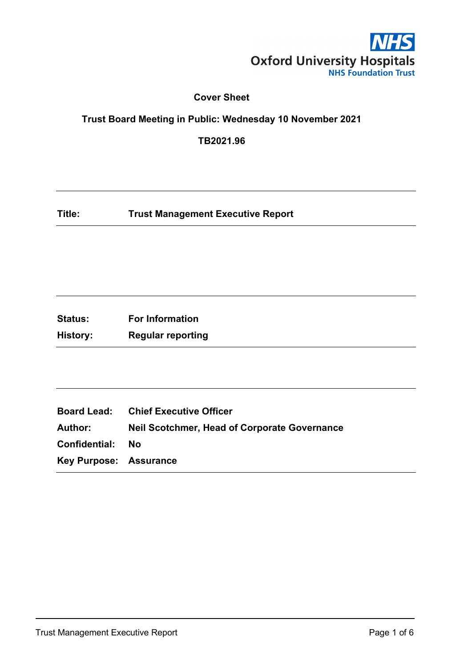

### **Cover Sheet**

# **Trust Board Meeting in Public: Wednesday 10 November 2021**

**TB2021.96**

**Title: Trust Management Executive Report**

**Status: For Information History: Regular reporting**

|                               | <b>Board Lead:</b> Chief Executive Officer          |
|-------------------------------|-----------------------------------------------------|
| Author:                       | <b>Neil Scotchmer, Head of Corporate Governance</b> |
| <b>Confidential: No</b>       |                                                     |
| <b>Key Purpose: Assurance</b> |                                                     |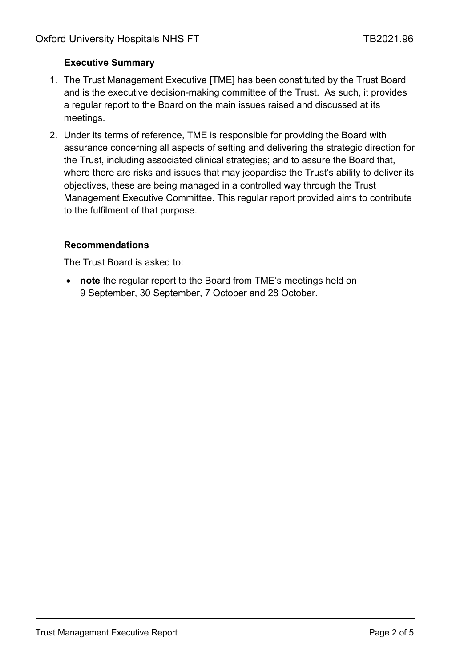# **Executive Summary**

- 1. The Trust Management Executive [TME] has been constituted by the Trust Board and is the executive decision-making committee of the Trust. As such, it provides a regular report to the Board on the main issues raised and discussed at its meetings.
- 2. Under its terms of reference, TME is responsible for providing the Board with assurance concerning all aspects of setting and delivering the strategic direction for the Trust, including associated clinical strategies; and to assure the Board that, where there are risks and issues that may jeopardise the Trust's ability to deliver its objectives, these are being managed in a controlled way through the Trust Management Executive Committee. This regular report provided aims to contribute to the fulfilment of that purpose.

## **Recommendations**

The Trust Board is asked to:

• **note** the regular report to the Board from TME's meetings held on 9 September, 30 September, 7 October and 28 October.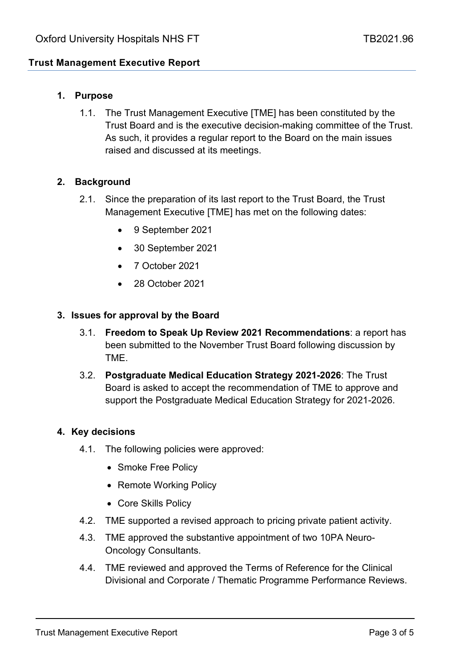# **Trust Management Executive Report**

## **1. Purpose**

1.1. The Trust Management Executive [TME] has been constituted by the Trust Board and is the executive decision-making committee of the Trust. As such, it provides a regular report to the Board on the main issues raised and discussed at its meetings.

### **2. Background**

- 2.1. Since the preparation of its last report to the Trust Board, the Trust Management Executive [TME] has met on the following dates:
	- 9 September 2021
	- 30 September 2021
	- 7 October 2021
	- 28 October 2021

#### **3. Issues for approval by the Board**

- 3.1. **Freedom to Speak Up Review 2021 Recommendations**: a report has been submitted to the November Trust Board following discussion by TME.
- 3.2. **Postgraduate Medical Education Strategy 2021-2026**: The Trust Board is asked to accept the recommendation of TME to approve and support the Postgraduate Medical Education Strategy for 2021-2026.

#### **4. Key decisions**

- 4.1. The following policies were approved:
	- Smoke Free Policy
	- Remote Working Policy
	- Core Skills Policy
- 4.2. TME supported a revised approach to pricing private patient activity.
- 4.3. TME approved the substantive appointment of two 10PA Neuro-Oncology Consultants.
- 4.4. TME reviewed and approved the Terms of Reference for the Clinical Divisional and Corporate / Thematic Programme Performance Reviews.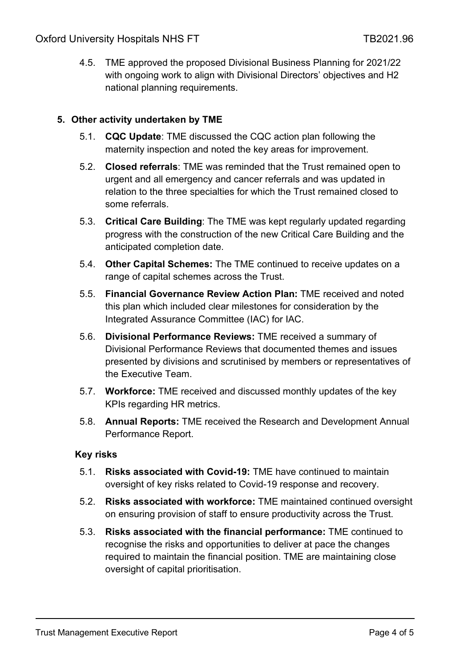4.5. TME approved the proposed Divisional Business Planning for 2021/22 with ongoing work to align with Divisional Directors' objectives and H2 national planning requirements.

## **5. Other activity undertaken by TME**

- 5.1. **CQC Update**: TME discussed the CQC action plan following the maternity inspection and noted the key areas for improvement.
- 5.2. **Closed referrals**: TME was reminded that the Trust remained open to urgent and all emergency and cancer referrals and was updated in relation to the three specialties for which the Trust remained closed to some referrals.
- 5.3. **Critical Care Building**: The TME was kept regularly updated regarding progress with the construction of the new Critical Care Building and the anticipated completion date.
- 5.4. **Other Capital Schemes:** The TME continued to receive updates on a range of capital schemes across the Trust.
- 5.5. **Financial Governance Review Action Plan:** TME received and noted this plan which included clear milestones for consideration by the Integrated Assurance Committee (IAC) for IAC.
- 5.6. **Divisional Performance Reviews:** TME received a summary of Divisional Performance Reviews that documented themes and issues presented by divisions and scrutinised by members or representatives of the Executive Team.
- 5.7. **Workforce:** TME received and discussed monthly updates of the key KPIs regarding HR metrics.
- 5.8. **Annual Reports:** TME received the Research and Development Annual Performance Report.

#### **Key risks**

- 5.1. **Risks associated with Covid-19:** TME have continued to maintain oversight of key risks related to Covid-19 response and recovery.
- 5.2. **Risks associated with workforce:** TME maintained continued oversight on ensuring provision of staff to ensure productivity across the Trust.
- 5.3. **Risks associated with the financial performance:** TME continued to recognise the risks and opportunities to deliver at pace the changes required to maintain the financial position. TME are maintaining close oversight of capital prioritisation.